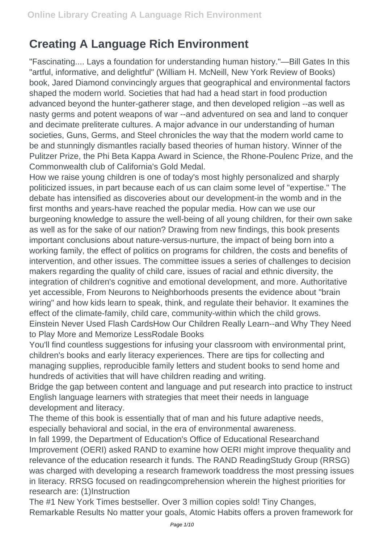## **Creating A Language Rich Environment**

"Fascinating.... Lays a foundation for understanding human history."—Bill Gates In this "artful, informative, and delightful" (William H. McNeill, New York Review of Books) book, Jared Diamond convincingly argues that geographical and environmental factors shaped the modern world. Societies that had had a head start in food production advanced beyond the hunter-gatherer stage, and then developed religion --as well as nasty germs and potent weapons of war --and adventured on sea and land to conquer and decimate preliterate cultures. A major advance in our understanding of human societies, Guns, Germs, and Steel chronicles the way that the modern world came to be and stunningly dismantles racially based theories of human history. Winner of the Pulitzer Prize, the Phi Beta Kappa Award in Science, the Rhone-Poulenc Prize, and the Commonwealth club of California's Gold Medal.

How we raise young children is one of today's most highly personalized and sharply politicized issues, in part because each of us can claim some level of "expertise." The debate has intensified as discoveries about our development-in the womb and in the first months and years-have reached the popular media. How can we use our burgeoning knowledge to assure the well-being of all young children, for their own sake as well as for the sake of our nation? Drawing from new findings, this book presents important conclusions about nature-versus-nurture, the impact of being born into a working family, the effect of politics on programs for children, the costs and benefits of intervention, and other issues. The committee issues a series of challenges to decision makers regarding the quality of child care, issues of racial and ethnic diversity, the integration of children's cognitive and emotional development, and more. Authoritative yet accessible, From Neurons to Neighborhoods presents the evidence about "brain wiring" and how kids learn to speak, think, and regulate their behavior. It examines the effect of the climate-family, child care, community-within which the child grows. Einstein Never Used Flash CardsHow Our Children Really Learn--and Why They Need to Play More and Memorize LessRodale Books

You'll find countless suggestions for infusing your classroom with environmental print, children's books and early literacy experiences. There are tips for collecting and managing supplies, reproducible family letters and student books to send home and hundreds of activities that will have children reading and writing.

Bridge the gap between content and language and put research into practice to instruct English language learners with strategies that meet their needs in language development and literacy.

The theme of this book is essentially that of man and his future adaptive needs, especially behavioral and social, in the era of environmental awareness.

In fall 1999, the Department of Education's Office of Educational Researchand Improvement (OERI) asked RAND to examine how OERI might improve thequality and relevance of the education research it funds. The RAND ReadingStudy Group (RRSG) was charged with developing a research framework toaddress the most pressing issues in literacy. RRSG focused on readingcomprehension wherein the highest priorities for research are: (1)Instruction

The #1 New York Times bestseller. Over 3 million copies sold! Tiny Changes, Remarkable Results No matter your goals, Atomic Habits offers a proven framework for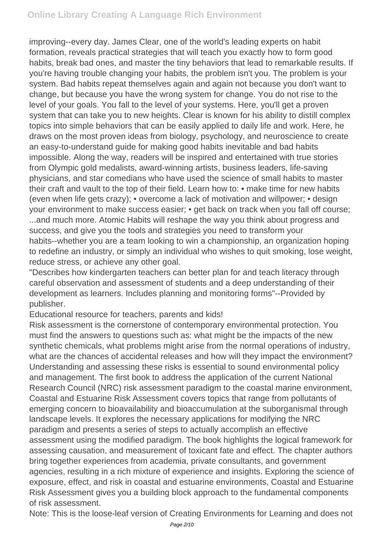## **Online Library Creating A Language Rich Environment**

improving--every day. James Clear, one of the world's leading experts on habit formation, reveals practical strategies that will teach you exactly how to form good habits, break bad ones, and master the tiny behaviors that lead to remarkable results. If you're having trouble changing your habits, the problem isn't you. The problem is your system. Bad habits repeat themselves again and again not because you don't want to change, but because you have the wrong system for change. You do not rise to the level of your goals. You fall to the level of your systems. Here, you'll get a proven system that can take you to new heights. Clear is known for his ability to distill complex topics into simple behaviors that can be easily applied to daily life and work. Here, he draws on the most proven ideas from biology, psychology, and neuroscience to create an easy-to-understand guide for making good habits inevitable and bad habits impossible. Along the way, readers will be inspired and entertained with true stories from Olympic gold medalists, award-winning artists, business leaders, life-saving physicians, and star comedians who have used the science of small habits to master their craft and vault to the top of their field. Learn how to: • make time for new habits (even when life gets crazy); • overcome a lack of motivation and willpower; • design your environment to make success easier; • get back on track when you fall off course; ...and much more. Atomic Habits will reshape the way you think about progress and success, and give you the tools and strategies you need to transform your habits--whether you are a team looking to win a championship, an organization hoping to redefine an industry, or simply an individual who wishes to quit smoking, lose weight, reduce stress, or achieve any other goal.

"Describes how kindergarten teachers can better plan for and teach literacy through careful observation and assessment of students and a deep understanding of their development as learners. Includes planning and monitoring forms"--Provided by publisher.

Educational resource for teachers, parents and kids!

Risk assessment is the cornerstone of contemporary environmental protection. You must find the answers to questions such as: what might be the impacts of the new synthetic chemicals, what problems might arise from the normal operations of industry, what are the chances of accidental releases and how will they impact the environment? Understanding and assessing these risks is essential to sound environmental policy and management. The first book to address the application of the current National Research Council (NRC) risk assessment paradigm to the coastal marine environment, Coastal and Estuarine Risk Assessment covers topics that range from pollutants of emerging concern to bioavailability and bioaccumulation at the suborganismal through landscape levels. It explores the necessary applications for modifying the NRC paradigm and presents a series of steps to actually accomplish an effective assessment using the modified paradigm. The book highlights the logical framework for assessing causation, and measurement of toxicant fate and effect. The chapter authors bring together experiences from academia, private consultants, and government agencies, resulting in a rich mixture of experience and insights. Exploring the science of exposure, effect, and risk in coastal and estuarine environments, Coastal and Estuarine Risk Assessment gives you a building block approach to the fundamental components of risk assessment.

Note: This is the loose-leaf version of Creating Environments for Learning and does not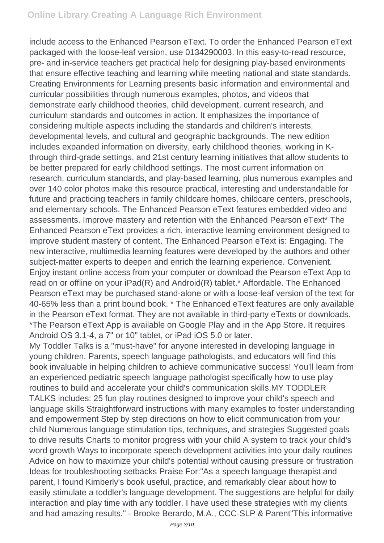include access to the Enhanced Pearson eText. To order the Enhanced Pearson eText packaged with the loose-leaf version, use 0134290003. In this easy-to-read resource, pre- and in-service teachers get practical help for designing play-based environments that ensure effective teaching and learning while meeting national and state standards. Creating Environments for Learning presents basic information and environmental and curricular possibilities through numerous examples, photos, and videos that demonstrate early childhood theories, child development, current research, and curriculum standards and outcomes in action. It emphasizes the importance of considering multiple aspects including the standards and children's interests, developmental levels, and cultural and geographic backgrounds. The new edition includes expanded information on diversity, early childhood theories, working in Kthrough third-grade settings, and 21st century learning initiatives that allow students to be better prepared for early childhood settings. The most current information on research, curriculum standards, and play-based learning, plus numerous examples and over 140 color photos make this resource practical, interesting and understandable for future and practicing teachers in family childcare homes, childcare centers, preschools, and elementary schools. The Enhanced Pearson eText features embedded video and assessments. Improve mastery and retention with the Enhanced Pearson eText\* The Enhanced Pearson eText provides a rich, interactive learning environment designed to improve student mastery of content. The Enhanced Pearson eText is: Engaging. The new interactive, multimedia learning features were developed by the authors and other subject-matter experts to deepen and enrich the learning experience. Convenient. Enjoy instant online access from your computer or download the Pearson eText App to read on or offline on your iPad(R) and Android(R) tablet.\* Affordable. The Enhanced Pearson eText may be purchased stand-alone or with a loose-leaf version of the text for 40-65% less than a print bound book. \* The Enhanced eText features are only available in the Pearson eText format. They are not available in third-party eTexts or downloads. \*The Pearson eText App is available on Google Play and in the App Store. It requires Android OS 3.1-4, a 7" or 10" tablet, or iPad iOS 5.0 or later.

My Toddler Talks is a "must-have" for anyone interested in developing language in young children. Parents, speech language pathologists, and educators will find this book invaluable in helping children to achieve communicative success! You'll learn from an experienced pediatric speech language pathologist specifically how to use play routines to build and accelerate your child's communication skills.MY TODDLER TALKS includes: 25 fun play routines designed to improve your child's speech and language skills Straightforward instructions with many examples to foster understanding and empowerment Step by step directions on how to elicit communication from your child Numerous language stimulation tips, techniques, and strategies Suggested goals to drive results Charts to monitor progress with your child A system to track your child's word growth Ways to incorporate speech development activities into your daily routines Advice on how to maximize your child's potential without causing pressure or frustration Ideas for troubleshooting setbacks Praise For:"As a speech language therapist and parent, I found Kimberly's book useful, practice, and remarkably clear about how to easily stimulate a toddler's language development. The suggestions are helpful for daily interaction and play time with any toddler. I have used these strategies with my clients and had amazing results." - Brooke Berardo, M.A., CCC-SLP & Parent"This informative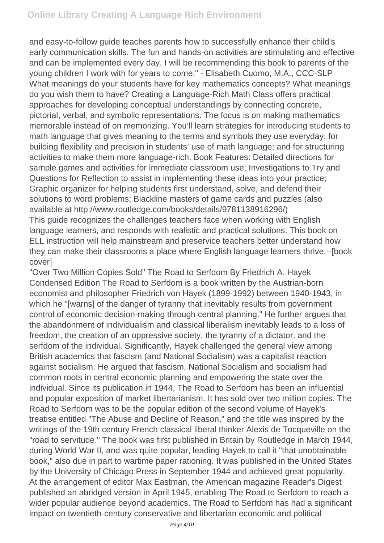and easy-to-follow guide teaches parents how to successfully enhance their child's early communication skills. The fun and hands-on activities are stimulating and effective and can be implemented every day. I will be recommending this book to parents of the young children I work with for years to come." - Elisabeth Cuomo, M.A., CCC-SLP What meanings do your students have for key mathematics concepts? What meanings do you wish them to have? Creating a Language-Rich Math Class offers practical approaches for developing conceptual understandings by connecting concrete, pictorial, verbal, and symbolic representations. The focus is on making mathematics memorable instead of on memorizing. You'll learn strategies for introducing students to math language that gives meaning to the terms and symbols they use everyday; for building flexibility and precision in students' use of math language; and for structuring activities to make them more language-rich. Book Features: Detailed directions for sample games and activities for immediate classroom use; Investigations to Try and Questions for Reflection to assist in implementing these ideas into your practice; Graphic organizer for helping students first understand, solve, and defend their solutions to word problems; Blackline masters of game cards and puzzles (also available at http://www.routledge.com/books/details/9781138916296/) This guide recognizes the challenges teachers face when working with English language learners, and responds with realistic and practical solutions. This book on ELL instruction will help mainstream and preservice teachers better understand how they can make their classrooms a place where English language learners thrive.--[book cover]

"Over Two Million Copies Sold" The Road to Serfdom By Friedrich A. Hayek Condensed Edition The Road to Serfdom is a book written by the Austrian-born economist and philosopher Friedrich von Hayek (1899-1992) between 1940-1943, in which he "[warns] of the danger of tyranny that inevitably results from government control of economic decision-making through central planning." He further argues that the abandonment of individualism and classical liberalism inevitably leads to a loss of freedom, the creation of an oppressive society, the tyranny of a dictator, and the serfdom of the individual. Significantly, Hayek challenged the general view among British academics that fascism (and National Socialism) was a capitalist reaction against socialism. He argued that fascism, National Socialism and socialism had common roots in central economic planning and empowering the state over the individual. Since its publication in 1944, The Road to Serfdom has been an influential and popular exposition of market libertarianism. It has sold over two million copies. The Road to Serfdom was to be the popular edition of the second volume of Hayek's treatise entitled "The Abuse and Decline of Reason," and the title was inspired by the writings of the 19th century French classical liberal thinker Alexis de Tocqueville on the "road to servitude." The book was first published in Britain by Routledge in March 1944, during World War II, and was quite popular, leading Hayek to call it "that unobtainable book," also due in part to wartime paper rationing. It was published in the United States by the University of Chicago Press in September 1944 and achieved great popularity. At the arrangement of editor Max Eastman, the American magazine Reader's Digest published an abridged version in April 1945, enabling The Road to Serfdom to reach a wider popular audience beyond academics. The Road to Serfdom has had a significant impact on twentieth-century conservative and libertarian economic and political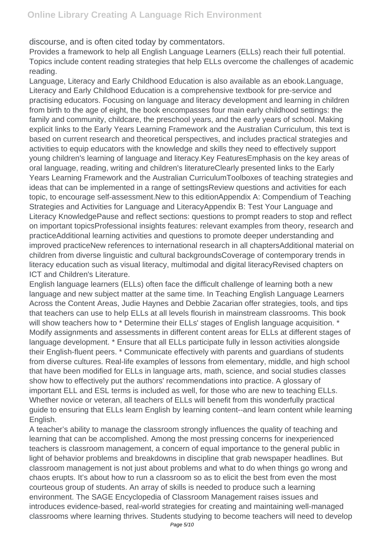discourse, and is often cited today by commentators.

Provides a framework to help all English Language Learners (ELLs) reach their full potential. Topics include content reading strategies that help ELLs overcome the challenges of academic reading.

Language, Literacy and Early Childhood Education is also available as an ebook.Language, Literacy and Early Childhood Education is a comprehensive textbook for pre-service and practising educators. Focusing on language and literacy development and learning in children from birth to the age of eight, the book encompasses four main early childhood settings: the family and community, childcare, the preschool years, and the early years of school. Making explicit links to the Early Years Learning Framework and the Australian Curriculum, this text is based on current research and theoretical perspectives, and includes practical strategies and activities to equip educators with the knowledge and skills they need to effectively support young children's learning of language and literacy.Key FeaturesEmphasis on the key areas of oral language, reading, writing and children's literatureClearly presented links to the Early Years Learning Framework and the Australian CurriculumToolboxes of teaching strategies and ideas that can be implemented in a range of settingsReview questions and activities for each topic, to encourage self-assessment.New to this editionAppendix A: Compendium of Teaching Strategies and Activities for Language and LiteracyAppendix B: Test Your Language and Literacy KnowledgePause and reflect sections: questions to prompt readers to stop and reflect on important topicsProfessional insights features: relevant examples from theory, research and practiceAdditional learning activities and questions to promote deeper understanding and improved practiceNew references to international research in all chaptersAdditional material on children from diverse linguistic and cultural backgroundsCoverage of contemporary trends in literacy education such as visual literacy, multimodal and digital literacyRevised chapters on ICT and Children's Literature.

English language learners (ELLs) often face the difficult challenge of learning both a new language and new subject matter at the same time. In Teaching English Language Learners Across the Content Areas, Judie Haynes and Debbie Zacarian offer strategies, tools, and tips that teachers can use to help ELLs at all levels flourish in mainstream classrooms. This book will show teachers how to \* Determine their ELLs' stages of English language acquisition. \* Modify assignments and assessments in different content areas for ELLs at different stages of language development. \* Ensure that all ELLs participate fully in lesson activities alongside their English-fluent peers. \* Communicate effectively with parents and guardians of students from diverse cultures. Real-life examples of lessons from elementary, middle, and high school that have been modified for ELLs in language arts, math, science, and social studies classes show how to effectively put the authors' recommendations into practice. A glossary of important ELL and ESL terms is included as well, for those who are new to teaching ELLs. Whether novice or veteran, all teachers of ELLs will benefit from this wonderfully practical guide to ensuring that ELLs learn English by learning content--and learn content while learning English.

A teacher's ability to manage the classroom strongly influences the quality of teaching and learning that can be accomplished. Among the most pressing concerns for inexperienced teachers is classroom management, a concern of equal importance to the general public in light of behavior problems and breakdowns in discipline that grab newspaper headlines. But classroom management is not just about problems and what to do when things go wrong and chaos erupts. It's about how to run a classroom so as to elicit the best from even the most courteous group of students. An array of skills is needed to produce such a learning environment. The SAGE Encyclopedia of Classroom Management raises issues and introduces evidence-based, real-world strategies for creating and maintaining well-managed classrooms where learning thrives. Students studying to become teachers will need to develop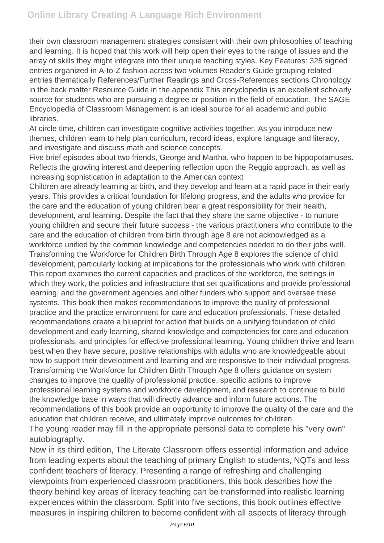their own classroom management strategies consistent with their own philosophies of teaching and learning. It is hoped that this work will help open their eyes to the range of issues and the array of skills they might integrate into their unique teaching styles. Key Features: 325 signed entries organized in A-to-Z fashion across two volumes Reader's Guide grouping related entries thematically References/Further Readings and Cross-References sections Chronology in the back matter Resource Guide in the appendix This encyclopedia is an excellent scholarly source for students who are pursuing a degree or position in the field of education. The SAGE Encyclopedia of Classroom Management is an ideal source for all academic and public libraries.

At circle time, children can investigate cognitive activities together. As you introduce new themes, children learn to help plan curriculum, record ideas, explore language and literacy, and investigate and discuss math and science concepts.

Five brief episodes about two friends, George and Martha, who happen to be hippopotamuses. Reflects the growing interest and deepening reflection upon the Reggio approach, as well as increasing sophistication in adaptation to the American context

Children are already learning at birth, and they develop and learn at a rapid pace in their early years. This provides a critical foundation for lifelong progress, and the adults who provide for the care and the education of young children bear a great responsibility for their health, development, and learning. Despite the fact that they share the same objective - to nurture young children and secure their future success - the various practitioners who contribute to the care and the education of children from birth through age 8 are not acknowledged as a workforce unified by the common knowledge and competencies needed to do their jobs well. Transforming the Workforce for Children Birth Through Age 8 explores the science of child development, particularly looking at implications for the professionals who work with children. This report examines the current capacities and practices of the workforce, the settings in which they work, the policies and infrastructure that set qualifications and provide professional learning, and the government agencies and other funders who support and oversee these systems. This book then makes recommendations to improve the quality of professional practice and the practice environment for care and education professionals. These detailed recommendations create a blueprint for action that builds on a unifying foundation of child development and early learning, shared knowledge and competencies for care and education professionals, and principles for effective professional learning. Young children thrive and learn best when they have secure, positive relationships with adults who are knowledgeable about how to support their development and learning and are responsive to their individual progress. Transforming the Workforce for Children Birth Through Age 8 offers guidance on system changes to improve the quality of professional practice, specific actions to improve professional learning systems and workforce development, and research to continue to build the knowledge base in ways that will directly advance and inform future actions. The recommendations of this book provide an opportunity to improve the quality of the care and the education that children receive, and ultimately improve outcomes for children.

The young reader may fill in the appropriate personal data to complete his "very own" autobiography.

Now in its third edition, The Literate Classroom offers essential information and advice from leading experts about the teaching of primary English to students, NQTs and less confident teachers of literacy. Presenting a range of refreshing and challenging viewpoints from experienced classroom practitioners, this book describes how the theory behind key areas of literacy teaching can be transformed into realistic learning experiences within the classroom. Split into five sections, this book outlines effective measures in inspiring children to become confident with all aspects of literacy through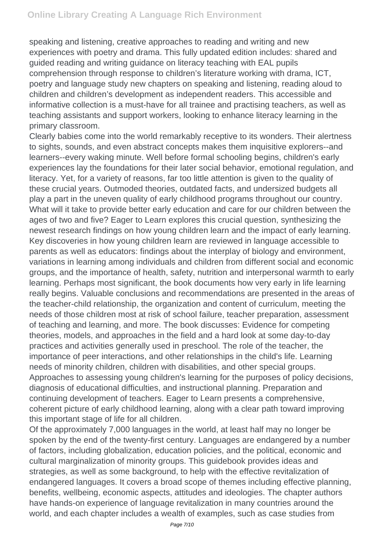speaking and listening, creative approaches to reading and writing and new experiences with poetry and drama. This fully updated edition includes: shared and guided reading and writing guidance on literacy teaching with EAL pupils comprehension through response to children's literature working with drama, ICT, poetry and language study new chapters on speaking and listening, reading aloud to children and children's development as independent readers. This accessible and informative collection is a must-have for all trainee and practising teachers, as well as teaching assistants and support workers, looking to enhance literacy learning in the primary classroom.

Clearly babies come into the world remarkably receptive to its wonders. Their alertness to sights, sounds, and even abstract concepts makes them inquisitive explorers--and learners--every waking minute. Well before formal schooling begins, children's early experiences lay the foundations for their later social behavior, emotional regulation, and literacy. Yet, for a variety of reasons, far too little attention is given to the quality of these crucial years. Outmoded theories, outdated facts, and undersized budgets all play a part in the uneven quality of early childhood programs throughout our country. What will it take to provide better early education and care for our children between the ages of two and five? Eager to Learn explores this crucial question, synthesizing the newest research findings on how young children learn and the impact of early learning. Key discoveries in how young children learn are reviewed in language accessible to parents as well as educators: findings about the interplay of biology and environment, variations in learning among individuals and children from different social and economic groups, and the importance of health, safety, nutrition and interpersonal warmth to early learning. Perhaps most significant, the book documents how very early in life learning really begins. Valuable conclusions and recommendations are presented in the areas of the teacher-child relationship, the organization and content of curriculum, meeting the needs of those children most at risk of school failure, teacher preparation, assessment of teaching and learning, and more. The book discusses: Evidence for competing theories, models, and approaches in the field and a hard look at some day-to-day practices and activities generally used in preschool. The role of the teacher, the importance of peer interactions, and other relationships in the child's life. Learning needs of minority children, children with disabilities, and other special groups. Approaches to assessing young children's learning for the purposes of policy decisions, diagnosis of educational difficulties, and instructional planning. Preparation and continuing development of teachers. Eager to Learn presents a comprehensive, coherent picture of early childhood learning, along with a clear path toward improving this important stage of life for all children.

Of the approximately 7,000 languages in the world, at least half may no longer be spoken by the end of the twenty-first century. Languages are endangered by a number of factors, including globalization, education policies, and the political, economic and cultural marginalization of minority groups. This guidebook provides ideas and strategies, as well as some background, to help with the effective revitalization of endangered languages. It covers a broad scope of themes including effective planning, benefits, wellbeing, economic aspects, attitudes and ideologies. The chapter authors have hands-on experience of language revitalization in many countries around the world, and each chapter includes a wealth of examples, such as case studies from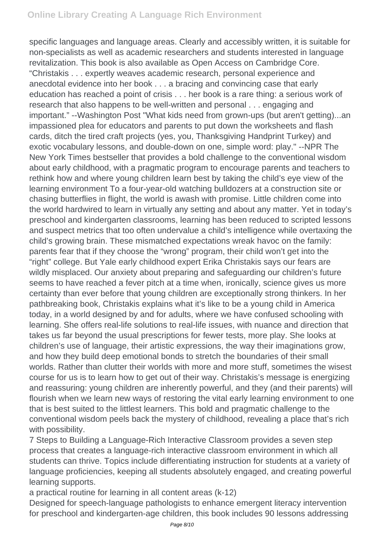specific languages and language areas. Clearly and accessibly written, it is suitable for non-specialists as well as academic researchers and students interested in language revitalization. This book is also available as Open Access on Cambridge Core. "Christakis . . . expertly weaves academic research, personal experience and anecdotal evidence into her book . . . a bracing and convincing case that early education has reached a point of crisis . . . her book is a rare thing: a serious work of research that also happens to be well-written and personal . . . engaging and important." --Washington Post "What kids need from grown-ups (but aren't getting)...an impassioned plea for educators and parents to put down the worksheets and flash cards, ditch the tired craft projects (yes, you, Thanksgiving Handprint Turkey) and exotic vocabulary lessons, and double-down on one, simple word: play." --NPR The New York Times bestseller that provides a bold challenge to the conventional wisdom about early childhood, with a pragmatic program to encourage parents and teachers to rethink how and where young children learn best by taking the child's eye view of the learning environment To a four-year-old watching bulldozers at a construction site or chasing butterflies in flight, the world is awash with promise. Little children come into the world hardwired to learn in virtually any setting and about any matter. Yet in today's preschool and kindergarten classrooms, learning has been reduced to scripted lessons and suspect metrics that too often undervalue a child's intelligence while overtaxing the child's growing brain. These mismatched expectations wreak havoc on the family: parents fear that if they choose the "wrong" program, their child won't get into the "right" college. But Yale early childhood expert Erika Christakis says our fears are wildly misplaced. Our anxiety about preparing and safeguarding our children's future seems to have reached a fever pitch at a time when, ironically, science gives us more certainty than ever before that young children are exceptionally strong thinkers. In her pathbreaking book, Christakis explains what it's like to be a young child in America today, in a world designed by and for adults, where we have confused schooling with learning. She offers real-life solutions to real-life issues, with nuance and direction that takes us far beyond the usual prescriptions for fewer tests, more play. She looks at children's use of language, their artistic expressions, the way their imaginations grow, and how they build deep emotional bonds to stretch the boundaries of their small worlds. Rather than clutter their worlds with more and more stuff, sometimes the wisest course for us is to learn how to get out of their way. Christakis's message is energizing and reassuring: young children are inherently powerful, and they (and their parents) will flourish when we learn new ways of restoring the vital early learning environment to one that is best suited to the littlest learners. This bold and pragmatic challenge to the conventional wisdom peels back the mystery of childhood, revealing a place that's rich with possibility.

7 Steps to Building a Language-Rich Interactive Classroom provides a seven step process that creates a language-rich interactive classroom environment in which all students can thrive. Topics include differentiating instruction for students at a variety of language proficiencies, keeping all students absolutely engaged, and creating powerful learning supports.

a practical routine for learning in all content areas (k-12)

Designed for speech-language pathologists to enhance emergent literacy intervention for preschool and kindergarten-age children, this book includes 90 lessons addressing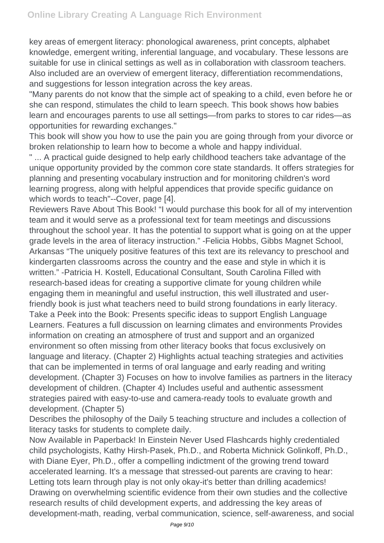key areas of emergent literacy: phonological awareness, print concepts, alphabet knowledge, emergent writing, inferential language, and vocabulary. These lessons are suitable for use in clinical settings as well as in collaboration with classroom teachers. Also included are an overview of emergent literacy, differentiation recommendations, and suggestions for lesson integration across the key areas.

"Many parents do not know that the simple act of speaking to a child, even before he or she can respond, stimulates the child to learn speech. This book shows how babies learn and encourages parents to use all settings—from parks to stores to car rides—as opportunities for rewarding exchanges."

This book will show you how to use the pain you are going through from your divorce or broken relationship to learn how to become a whole and happy individual.

" ... A practical guide designed to help early childhood teachers take advantage of the unique opportunity provided by the common core state standards. It offers strategies for planning and presenting vocabulary instruction and for monitoring children's word learning progress, along with helpful appendices that provide specific guidance on which words to teach"--Cover, page [4].

Reviewers Rave About This Book! "I would purchase this book for all of my intervention team and it would serve as a professional text for team meetings and discussions throughout the school year. It has the potential to support what is going on at the upper grade levels in the area of literacy instruction." -Felicia Hobbs, Gibbs Magnet School, Arkansas "The uniquely positive features of this text are its relevancy to preschool and kindergarten classrooms across the country and the ease and style in which it is written." -Patricia H. Kostell, Educational Consultant, South Carolina Filled with research-based ideas for creating a supportive climate for young children while engaging them in meaningful and useful instruction, this well illustrated and userfriendly book is just what teachers need to build strong foundations in early literacy. Take a Peek into the Book: Presents specific ideas to support English Language Learners. Features a full discussion on learning climates and environments Provides information on creating an atmosphere of trust and support and an organized environment so often missing from other literacy books that focus exclusively on language and literacy. (Chapter 2) Highlights actual teaching strategies and activities that can be implemented in terms of oral language and early reading and writing development. (Chapter 3) Focuses on how to involve families as partners in the literacy development of children. (Chapter 4) Includes useful and authentic assessment strategies paired with easy-to-use and camera-ready tools to evaluate growth and development. (Chapter 5)

Describes the philosophy of the Daily 5 teaching structure and includes a collection of literacy tasks for students to complete daily.

Now Available in Paperback! In Einstein Never Used Flashcards highly credentialed child psychologists, Kathy Hirsh-Pasek, Ph.D., and Roberta Michnick Golinkoff, Ph.D., with Diane Eyer, Ph.D., offer a compelling indictment of the growing trend toward accelerated learning. It's a message that stressed-out parents are craving to hear: Letting tots learn through play is not only okay-it's better than drilling academics! Drawing on overwhelming scientific evidence from their own studies and the collective research results of child development experts, and addressing the key areas of development-math, reading, verbal communication, science, self-awareness, and social